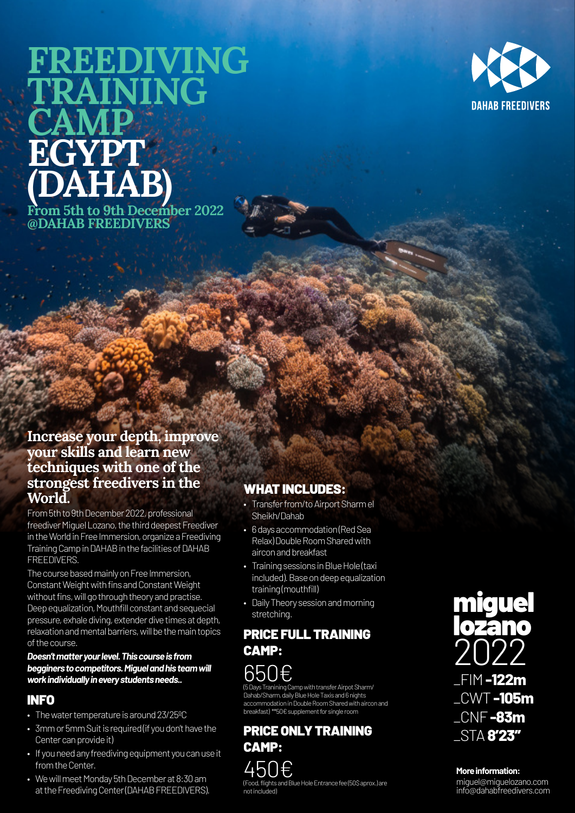# **FREEDIVING TRAINING CAMP EGYPT (DAHAB) From 5th to 9th December 2022 @DAHAB FREEDIVERS**



# **Increase your depth, improve your skills and learn new techniques with one of the strongest freedivers in the World.**

From 5th to 9th December 2022, professional freediver Miguel Lozano, the third deepest Freediver in the World in Free Immersion, organize a Freediving Training Camp in DAHAB in the facilities of DAHAB FREEDIVERS.

The course based mainly on Free Immersion, Constant Weight with fins and Constant Weight without fins, will go through theory and practise. Deep equalization, Mouthfill constant and sequecial pressure, exhale diving, extender dive times at depth, relaxation and mental barriers, will be the main topics of the course.

#### *Doesn't matter your level. This course is from begginers to competitors. Miguel and his team will work individually in every students needs..*

# INFO

- The water temperature is around 23/25ºC
- 3mm or 5mm Suit is required (if you don't have the Center can provide it)
- If you need any freediving equipment you can use it from the Center.
- We will meet Monday 5th December at 8:30 am at the Freediving Center (DAHAB FREEDIVERS).

# WHAT INCLUDES:

- Transfer from/to Airport Sharm el Sheikh/Dahab
- 6 days accommodation (Red Sea Relax) Double Room Shared with aircon and breakfast
- Training sessions in Blue Hole (taxi included). Base on deep equalization training (mouthfill)
- Daily Theory session and morning stretching.

# PRICE FULL TRAINING CAMP:



(5 Days Tranining Camp with transfer Airpot Sharm/ Dahab/Sharm, daily Blue Hole Taxis and 6 nights accommodation in Double Room Shared with aircon and breakfast) \*\*50€ supplement for single room

PRICE ONLY TRAINING CAMP: 450€ (Food, flights and Blue Hole Entrance fee (50\$ aprox.) are not included)



#### **More information:**

miguel@miguelozano.com info@dahabfreedivers.com